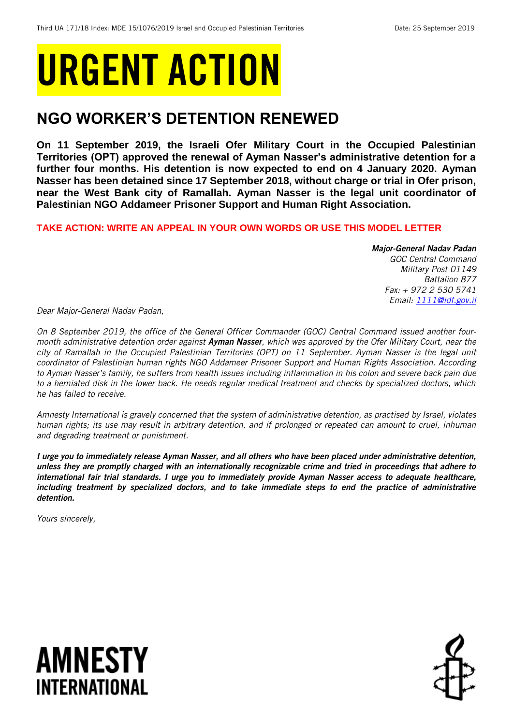# URGENT ACTION

## **NGO WORKER'S DETENTION RENEWED**

**On 11 September 2019, the Israeli Ofer Military Court in the Occupied Palestinian Territories (OPT) approved the renewal of Ayman Nasser's administrative detention for a further four months. His detention is now expected to end on 4 January 2020. Ayman Nasser has been detained since 17 September 2018, without charge or trial in Ofer prison, near the West Bank city of Ramallah. Ayman Nasser is the legal unit coordinator of Palestinian NGO Addameer Prisoner Support and Human Right Association.**

#### **TAKE ACTION: WRITE AN APPEAL IN YOUR OWN WORDS OR USE THIS MODEL LETTER**

#### *Major-General Nadav Padan*

*GOC Central Command Military Post 01149 Battalion 877 Fax: + 972 2 530 5741 Email: [1111@idf.gov.il](mailto:1111@idf.gov.il)*

*Dear Major-General Nadav Padan,*

*On 8 September 2019, the office of the General Officer Commander (GOC) Central Command issued another fourmonth administrative detention order against Ayman Nasser, which was approved by the Ofer Military Court, near the city of Ramallah in the Occupied Palestinian Territories (OPT) on 11 September. Ayman Nasser is the legal unit coordinator of Palestinian human rights NGO Addameer Prisoner Support and Human Rights Association. According to Ayman Nasser's family, he suffers from health issues including inflammation in his colon and severe back pain due to a herniated disk in the lower back. He needs regular medical treatment and checks by specialized doctors, which he has failed to receive.* 

*Amnesty International is gravely concerned that the system of administrative detention, as practised by Israel, violates human rights; its use may result in arbitrary detention, and if prolonged or repeated can amount to cruel, inhuman and degrading treatment or punishment.*

*I urge you to immediately release Ayman Nasser, and all others who have been placed under administrative detention, unless they are promptly charged with an internationally recognizable crime and tried in proceedings that adhere to international fair trial standards. I urge you to immediately provide Ayman Nasser access to adequate healthcare, including treatment by specialized doctors, and to take immediate steps to end the practice of administrative detention.*

*Yours sincerely,*